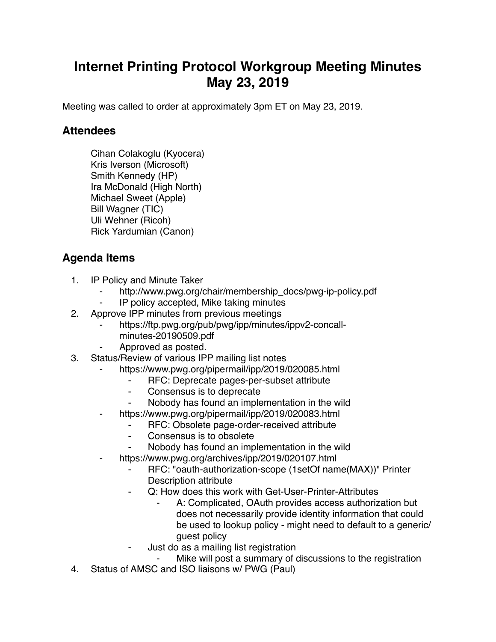## **Internet Printing Protocol Workgroup Meeting Minutes May 23, 2019**

Meeting was called to order at approximately 3pm ET on May 23, 2019.

## **Attendees**

Cihan Colakoglu (Kyocera) Kris Iverson (Microsoft) Smith Kennedy (HP) Ira McDonald (High North) Michael Sweet (Apple) Bill Wagner (TIC) Uli Wehner (Ricoh) Rick Yardumian (Canon)

## **Agenda Items**

- 1. IP Policy and Minute Taker
	- http://www.pwg.org/chair/membership\_docs/pwg-ip-policy.pdf
	- IP policy accepted, Mike taking minutes
- 2. Approve IPP minutes from previous meetings
	- https://ftp.pwg.org/pub/pwg/ipp/minutes/ippv2-concallminutes-20190509.pdf
	- Approved as posted.
- 3. Status/Review of various IPP mailing list notes
	- https://www.pwg.org/pipermail/ipp/2019/020085.html
		- ⁃ RFC: Deprecate pages-per-subset attribute
		- Consensus is to deprecate
		- Nobody has found an implementation in the wild
	- https://www.pwg.org/pipermail/ipp/2019/020083.html
		- ⁃ RFC: Obsolete page-order-received attribute
		- Consensus is to obsolete
		- Nobody has found an implementation in the wild
	- https://www.pwg.org/archives/ipp/2019/020107.html
		- RFC: "oauth-authorization-scope (1setOf name(MAX))" Printer Description attribute
		- Q: How does this work with Get-User-Printer-Attributes
			- A: Complicated, OAuth provides access authorization but does not necessarily provide identity information that could be used to lookup policy - might need to default to a generic/ guest policy
			- Just do as a mailing list registration
			- Mike will post a summary of discussions to the registration
- 4. Status of AMSC and ISO liaisons w/ PWG (Paul)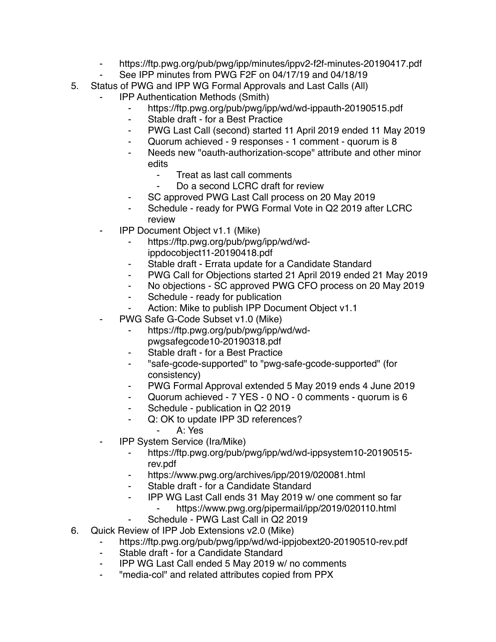- ⁃ https://ftp.pwg.org/pub/pwg/ipp/minutes/ippv2-f2f-minutes-20190417.pdf
- See IPP minutes from PWG F2F on 04/17/19 and 04/18/19
- 5. Status of PWG and IPP WG Formal Approvals and Last Calls (All)
	- **IPP Authentication Methods (Smith)** 
		- ⁃ https://ftp.pwg.org/pub/pwg/ipp/wd/wd-ippauth-20190515.pdf
		- ⁃ Stable draft for a Best Practice
		- ⁃ PWG Last Call (second) started 11 April 2019 ended 11 May 2019
		- Quorum achieved 9 responses 1 comment quorum is 8
		- Needs new "oauth-authorization-scope" attribute and other minor edits
			- ⁃ Treat as last call comments
			- ⁃ Do a second LCRC draft for review
		- ⁃ SC approved PWG Last Call process on 20 May 2019
		- ⁃ Schedule ready for PWG Formal Vote in Q2 2019 after LCRC review
	- ⁃ IPP Document Object v1.1 (Mike)
		- ⁃ https://ftp.pwg.org/pub/pwg/ipp/wd/wd
			- ippdocobject11-20190418.pdf
		- ⁃ Stable draft Errata update for a Candidate Standard
		- ⁃ PWG Call for Objections started 21 April 2019 ended 21 May 2019
		- ⁃ No objections SC approved PWG CFO process on 20 May 2019
		- ⁃ Schedule ready for publication
		- Action: Mike to publish IPP Document Object v1.1
	- PWG Safe G-Code Subset v1.0 (Mike)
		- ⁃ https://ftp.pwg.org/pub/pwg/ipp/wd/wdpwgsafegcode10-20190318.pdf
		- Stable draft for a Best Practice
		- ⁃ "safe-gcode-supported" to "pwg-safe-gcode-supported" (for consistency)
		- ⁃ PWG Formal Approval extended 5 May 2019 ends 4 June 2019
		- ⁃ Quorum achieved 7 YES 0 NO 0 comments quorum is 6
		- ⁃ Schedule publication in Q2 2019
		- Q: OK to update IPP 3D references?
			- ⁃ A: Yes
	- ⁃ IPP System Service (Ira/Mike)
		- ⁃ https://ftp.pwg.org/pub/pwg/ipp/wd/wd-ippsystem10-20190515 rev.pdf
		- https://www.pwg.org/archives/ipp/2019/020081.html
		- Stable draft for a Candidate Standard
		- ⁃ IPP WG Last Call ends 31 May 2019 w/ one comment so far https://www.pwg.org/pipermail/ipp/2019/020110.html
		- ⁃ Schedule PWG Last Call in Q2 2019
- 6. Quick Review of IPP Job Extensions v2.0 (Mike)
	- ⁃ https://ftp.pwg.org/pub/pwg/ipp/wd/wd-ippjobext20-20190510-rev.pdf
	- ⁃ Stable draft for a Candidate Standard
	- ⁃ IPP WG Last Call ended 5 May 2019 w/ no comments
	- ⁃ "media-col" and related attributes copied from PPX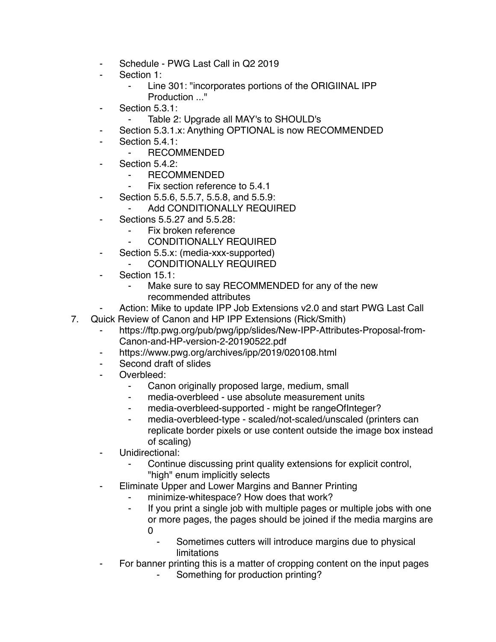- Schedule PWG Last Call in Q2 2019
- Section 1:
	- Line 301: "incorporates portions of the ORIGIINAL IPP Production ..."
- ⁃ Section 5.3.1:
	- Table 2: Upgrade all MAY's to SHOULD's
	- Section 5.3.1.x: Anything OPTIONAL is now RECOMMENDED
- Section 5.4.1:
	- **RECOMMENDED**
- Section 5.4.2:
	- **RECOMMENDED**
	- Fix section reference to 5.4.1
- Section 5.5.6, 5.5.7, 5.5.8, and 5.5.9:
	- Add CONDITIONALLY REQUIRED
- ⁃ Sections 5.5.27 and 5.5.28:
	- Fix broken reference
	- CONDITIONALLY REQUIRED
- ⁃ Section 5.5.x: (media-xxx-supported)
	- CONDITIONALLY REQUIRED
- ⁃ Section 15.1:
	- Make sure to say RECOMMENDED for any of the new recommended attributes
- Action: Mike to update IPP Job Extensions v2.0 and start PWG Last Call
- 7. Quick Review of Canon and HP IPP Extensions (Rick/Smith)
	- https://ftp.pwg.org/pub/pwg/ipp/slides/New-IPP-Attributes-Proposal-from-Canon-and-HP-version-2-20190522.pdf
	- https://www.pwg.org/archives/ipp/2019/020108.html
	- Second draft of slides
	- Overbleed:
		- Canon originally proposed large, medium, small
		- ⁃ media-overbleed use absolute measurement units
		- media-overbleed-supported might be rangeOfInteger?
		- media-overbleed-type scaled/not-scaled/unscaled (printers can replicate border pixels or use content outside the image box instead of scaling)
	- Unidirectional:
		- Continue discussing print quality extensions for explicit control, "high" enum implicitly selects
	- Eliminate Upper and Lower Margins and Banner Printing
		- minimize-whitespace? How does that work?
		- ⁃ If you print a single job with multiple pages or multiple jobs with one or more pages, the pages should be joined if the media margins are  $\Omega$ 
			- ⁃ Sometimes cutters will introduce margins due to physical limitations
	- ⁃ For banner printing this is a matter of cropping content on the input pages
		- Something for production printing?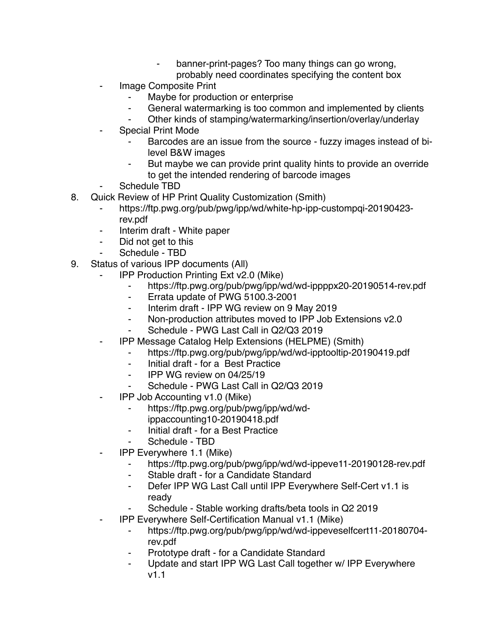- banner-print-pages? Too many things can go wrong, probably need coordinates specifying the content box
- ⁃ Image Composite Print
	- Maybe for production or enterprise
	- ⁃ General watermarking is too common and implemented by clients
	- Other kinds of stamping/watermarking/insertion/overlay/underlay
- Special Print Mode
	- Barcodes are an issue from the source fuzzy images instead of bilevel B&W images
	- But maybe we can provide print quality hints to provide an override to get the intended rendering of barcode images
- Schedule TBD
- 8. Quick Review of HP Print Quality Customization (Smith)
	- ⁃ https://ftp.pwg.org/pub/pwg/ipp/wd/white-hp-ipp-custompqi-20190423 rev.pdf
	- ⁃ Interim draft White paper
	- Did not get to this
	- Schedule TBD
- 9. Status of various IPP documents (All)
	- **IPP Production Printing Ext v2.0 (Mike)** 
		- https://ftp.pwg.org/pub/pwg/ipp/wd/wd-ippppx20-20190514-rev.pdf
		- ⁃ Errata update of PWG 5100.3-2001
		- ⁃ Interim draft IPP WG review on 9 May 2019
		- ⁃ Non-production attributes moved to IPP Job Extensions v2.0
		- Schedule PWG Last Call in Q2/Q3 2019
	- ⁃ IPP Message Catalog Help Extensions (HELPME) (Smith)
		- ⁃ https://ftp.pwg.org/pub/pwg/ipp/wd/wd-ipptooltip-20190419.pdf
		- ⁃ Initial draft for a Best Practice
		- ⁃ IPP WG review on 04/25/19
		- Schedule PWG Last Call in Q2/Q3 2019
	- ⁃ IPP Job Accounting v1.0 (Mike)
		- ⁃ https://ftp.pwg.org/pub/pwg/ipp/wd/wd-
		- ippaccounting10-20190418.pdf
		- ⁃ Initial draft for a Best Practice
		- Schedule TBD
	- ⁃ IPP Everywhere 1.1 (Mike)
		- ⁃ https://ftp.pwg.org/pub/pwg/ipp/wd/wd-ippeve11-20190128-rev.pdf
		- ⁃ Stable draft for a Candidate Standard
		- ⁃ Defer IPP WG Last Call until IPP Everywhere Self-Cert v1.1 is ready
		- Schedule Stable working drafts/beta tools in Q2 2019
		- ⁃ IPP Everywhere Self-Certification Manual v1.1 (Mike)
			- ⁃ https://ftp.pwg.org/pub/pwg/ipp/wd/wd-ippeveselfcert11-20180704 rev.pdf
			- Prototype draft for a Candidate Standard
			- Update and start IPP WG Last Call together w/ IPP Everywhere v1.1